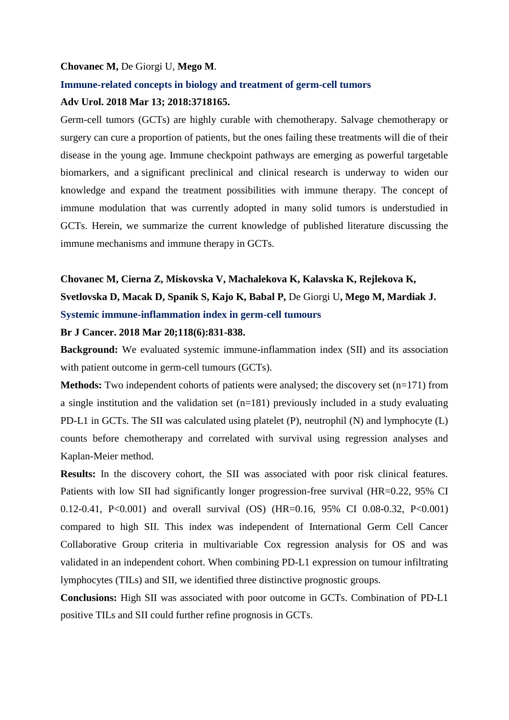#### **Chovanec M,** De Giorgi U, **Mego M**.

#### **Immune-related concepts in biology and treatment of germ-cell tumors**

## **Adv Urol. 2018 Mar 13; 2018:3718165.**

Germ-cell tumors (GCTs) are highly curable with chemotherapy. Salvage chemotherapy or surgery can cure a proportion of patients, but the ones failing these treatments will die of their disease in the young age. Immune checkpoint pathways are emerging as powerful targetable biomarkers, and a significant preclinical and clinical research is underway to widen our knowledge and expand the treatment possibilities with immune therapy. The concept of immune modulation that was currently adopted in many solid tumors is understudied in GCTs. Herein, we summarize the current knowledge of published literature discussing the immune mechanisms and immune therapy in GCTs.

# **Chovanec M, Cierna Z, Miskovska V, Machalekova K, Kalavska K, Rejlekova K, Svetlovska D, Macak D, Spanik S, Kajo K, Babal P,** De Giorgi U**, Mego M, Mardiak J. Systemic immune-inflammation index in germ-cell tumours**

#### **Br J Cancer. 2018 Mar 20;118(6):831-838.**

**Background:** We evaluated systemic immune-inflammation index (SII) and its association with patient outcome in germ-cell tumours (GCTs).

**Methods:** Two independent cohorts of patients were analysed; the discovery set (n=171) from a single institution and the validation set  $(n=181)$  previously included in a study evaluating PD-L1 in GCTs. The SII was calculated using platelet (P), neutrophil (N) and lymphocyte (L) counts before chemotherapy and correlated with survival using regression analyses and Kaplan-Meier method.

**Results:** In the discovery cohort, the SII was associated with poor risk clinical features. Patients with low SII had significantly longer progression-free survival (HR=0.22, 95% CI 0.12-0.41, P<0.001) and overall survival (OS) (HR=0.16, 95% CI 0.08-0.32, P<0.001) compared to high SII. This index was independent of International Germ Cell Cancer Collaborative Group criteria in multivariable Cox regression analysis for OS and was validated in an independent cohort. When combining PD-L1 expression on tumour infiltrating lymphocytes (TILs) and SII, we identified three distinctive prognostic groups.

**Conclusions:** High SII was associated with poor outcome in GCTs. Combination of PD-L1 positive TILs and SII could further refine prognosis in GCTs.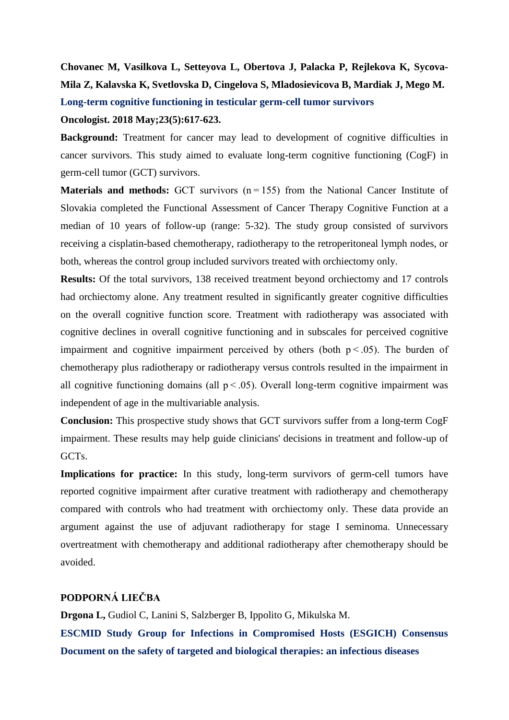# **Chovanec M, Vasilkova L, Setteyova L, Obertova J, Palacka P, Rejlekova K, Sycova-Mila Z, Kalavska K, Svetlovska D, Cingelova S, Mladosievicova B, Mardiak J, Mego M. Long-term cognitive functioning in testicular germ-cell tumor survivors**

#### **Oncologist. 2018 May;23(5):617-623.**

**Background:** Treatment for cancer may lead to development of cognitive difficulties in cancer survivors. This study aimed to evaluate long-term cognitive functioning (CogF) in germ-cell tumor (GCT) survivors.

**Materials and methods:** GCT survivors (n=155) from the National Cancer Institute of Slovakia completed the Functional Assessment of Cancer Therapy Cognitive Function at a median of 10 years of follow-up (range: 5-32). The study group consisted of survivors receiving a cisplatin-based chemotherapy, radiotherapy to the retroperitoneal lymph nodes, or both, whereas the control group included survivors treated with orchiectomy only.

**Results:** Of the total survivors, 138 received treatment beyond orchiectomy and 17 controls had orchiectomy alone. Any treatment resulted in significantly greater cognitive difficulties on the overall cognitive function score. Treatment with radiotherapy was associated with cognitive declines in overall cognitive functioning and in subscales for perceived cognitive impairment and cognitive impairment perceived by others (both  $p < .05$ ). The burden of chemotherapy plus radiotherapy or radiotherapy versus controls resulted in the impairment in all cognitive functioning domains (all  $p < .05$ ). Overall long-term cognitive impairment was independent of age in the multivariable analysis.

**Conclusion:** This prospective study shows that GCT survivors suffer from a long-term CogF impairment. These results may help guide clinicians' decisions in treatment and follow-up of GCTs.

**Implications for practice:** In this study, long-term survivors of germ-cell tumors have reported cognitive impairment after curative treatment with radiotherapy and chemotherapy compared with controls who had treatment with orchiectomy only. These data provide an argument against the use of adjuvant radiotherapy for stage I seminoma. Unnecessary overtreatment with chemotherapy and additional radiotherapy after chemotherapy should be avoided.

## **PODPORNÁ LIEČBA**

**Drgona L,** Gudiol C, Lanini S, Salzberger B, Ippolito G, Mikulska M. **ESCMID Study Group for Infections in Compromised Hosts (ESGICH) Consensus Document on the safety of targeted and biological therapies: an infectious diseases**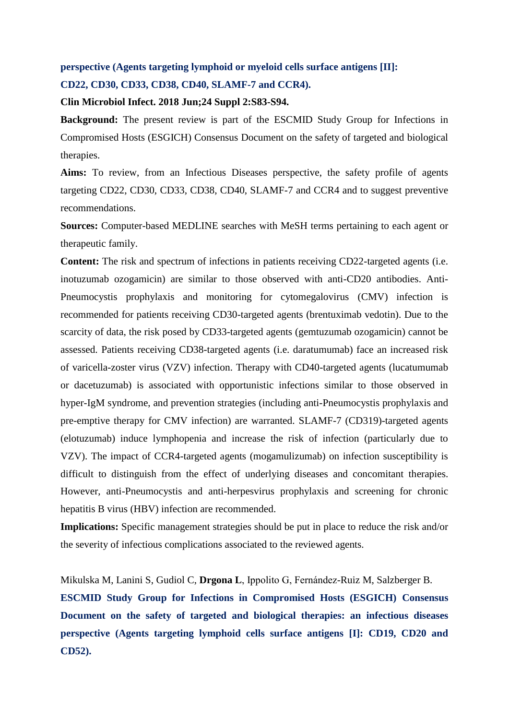# **perspective (Agents targeting lymphoid or myeloid cells surface antigens [II]: CD22, CD30, CD33, CD38, CD40, SLAMF-7 and CCR4).**

#### **Clin Microbiol Infect. 2018 Jun;24 Suppl 2:S83-S94.**

**Background:** The present review is part of the ESCMID Study Group for Infections in Compromised Hosts (ESGICH) Consensus Document on the safety of targeted and biological therapies.

**Aims:** To review, from an Infectious Diseases perspective, the safety profile of agents targeting CD22, CD30, CD33, CD38, CD40, SLAMF-7 and CCR4 and to suggest preventive recommendations.

**Sources:** Computer-based MEDLINE searches with MeSH terms pertaining to each agent or therapeutic family.

**Content:** The risk and spectrum of infections in patients receiving CD22-targeted agents (i.e. inotuzumab ozogamicin) are similar to those observed with anti-CD20 antibodies. Anti-Pneumocystis prophylaxis and monitoring for cytomegalovirus (CMV) infection is recommended for patients receiving CD30-targeted agents (brentuximab vedotin). Due to the scarcity of data, the risk posed by CD33-targeted agents (gemtuzumab ozogamicin) cannot be assessed. Patients receiving CD38-targeted agents (i.e. daratumumab) face an increased risk of varicella-zoster virus (VZV) infection. Therapy with CD40-targeted agents (lucatumumab or dacetuzumab) is associated with opportunistic infections similar to those observed in hyper-IgM syndrome, and prevention strategies (including anti-Pneumocystis prophylaxis and pre-emptive therapy for CMV infection) are warranted. SLAMF-7 (CD319)-targeted agents (elotuzumab) induce lymphopenia and increase the risk of infection (particularly due to VZV). The impact of CCR4-targeted agents (mogamulizumab) on infection susceptibility is difficult to distinguish from the effect of underlying diseases and concomitant therapies. However, anti-Pneumocystis and anti-herpesvirus prophylaxis and screening for chronic hepatitis B virus (HBV) infection are recommended.

**Implications:** Specific management strategies should be put in place to reduce the risk and/or the severity of infectious complications associated to the reviewed agents.

Mikulska M, Lanini S, Gudiol C, **Drgona L**, Ippolito G, Fernández-Ruiz M, Salzberger B.

**ESCMID Study Group for Infections in Compromised Hosts (ESGICH) Consensus Document on the safety of targeted and biological therapies: an infectious diseases perspective (Agents targeting lymphoid cells surface antigens [I]: CD19, CD20 and CD52).**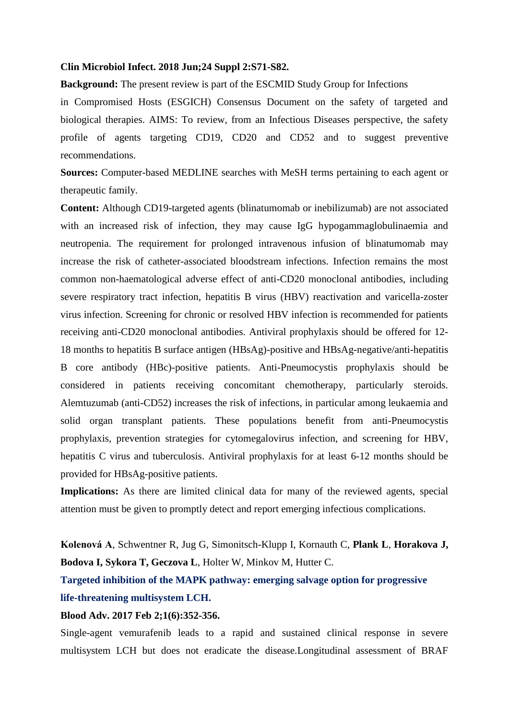#### **Clin Microbiol Infect. 2018 Jun;24 Suppl 2:S71-S82.**

**Background:** The present review is part of the ESCMID Study Group for Infections

in Compromised Hosts (ESGICH) Consensus Document on the safety of targeted and biological therapies. AIMS: To review, from an Infectious Diseases perspective, the safety profile of agents targeting CD19, CD20 and CD52 and to suggest preventive recommendations.

**Sources:** Computer-based MEDLINE searches with MeSH terms pertaining to each agent or therapeutic family.

**Content:** Although CD19-targeted agents (blinatumomab or inebilizumab) are not associated with an increased risk of infection, they may cause IgG hypogammaglobulinaemia and neutropenia. The requirement for prolonged intravenous infusion of blinatumomab may increase the risk of catheter-associated bloodstream infections. Infection remains the most common non-haematological adverse effect of anti-CD20 monoclonal antibodies, including severe respiratory tract infection, hepatitis B virus (HBV) reactivation and varicella-zoster virus infection. Screening for chronic or resolved HBV infection is recommended for patients receiving anti-CD20 monoclonal antibodies. Antiviral prophylaxis should be offered for 12- 18 months to hepatitis B surface antigen (HBsAg)-positive and HBsAg-negative/anti-hepatitis B core antibody (HBc)-positive patients. Anti-Pneumocystis prophylaxis should be considered in patients receiving concomitant chemotherapy, particularly steroids. Alemtuzumab (anti-CD52) increases the risk of infections, in particular among leukaemia and solid organ transplant patients. These populations benefit from anti-Pneumocystis prophylaxis, prevention strategies for cytomegalovirus infection, and screening for HBV, hepatitis C virus and tuberculosis. Antiviral prophylaxis for at least 6-12 months should be provided for HBsAg-positive patients.

**Implications:** As there are limited clinical data for many of the reviewed agents, special attention must be given to promptly detect and report emerging infectious complications.

**Kolenová A**, Schwentner R, Jug G, Simonitsch-Klupp I, Kornauth C, **Plank L**, **Horakova J, Bodova I, Sykora T, Geczova L**, Holter W, Minkov M, Hutter C.

**Targeted inhibition of the MAPK pathway: emerging salvage option for progressive life-threatening multisystem LCH.** 

#### **Blood Adv. 2017 Feb 2;1(6):352-356.**

Single-agent vemurafenib leads to a rapid and sustained clinical response in severe multisystem LCH but does not eradicate the disease.Longitudinal assessment of BRAF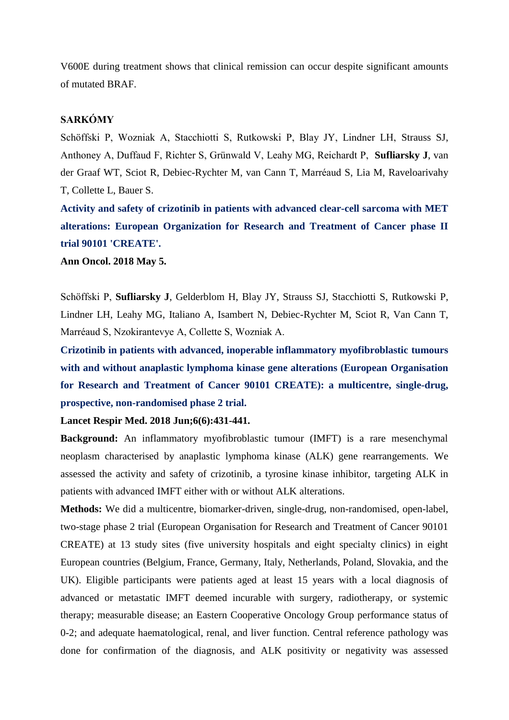V600E during treatment shows that clinical remission can occur despite significant amounts of mutated BRAF.

# **SARKÓMY**

Schöffski P, Wozniak A, Stacchiotti S, Rutkowski P, Blay JY, Lindner LH, Strauss SJ, Anthoney A, Duffaud F, Richter S, Grünwald V, Leahy MG, Reichardt P, **Sufliarsky J**, van der Graaf WT, Sciot R, Debiec-Rychter M, van Cann T, Marréaud S, Lia M, Raveloarivahy T, Collette L, Bauer S.

**Activity and safety of crizotinib in patients with advanced clear-cell sarcoma with MET alterations: European Organization for Research and Treatment of Cancer phase II trial 90101 'CREATE'.** 

**Ann Oncol. 2018 May 5.** 

Schöffski P, **Sufliarsky J**, Gelderblom H, Blay JY, Strauss SJ, Stacchiotti S, Rutkowski P, Lindner LH, Leahy MG, Italiano A, Isambert N, Debiec-Rychter M, Sciot R, Van Cann T, Marréaud S, Nzokirantevye A, Collette S, Wozniak A.

**Crizotinib in patients with advanced, inoperable inflammatory myofibroblastic tumours with and without anaplastic lymphoma kinase gene alterations (European Organisation for Research and Treatment of Cancer 90101 CREATE): a multicentre, single-drug, prospective, non-randomised phase 2 trial.** 

**Lancet Respir Med. 2018 Jun;6(6):431-441.** 

**Background:** An inflammatory myofibroblastic tumour (IMFT) is a rare mesenchymal neoplasm characterised by anaplastic lymphoma kinase (ALK) gene rearrangements. We assessed the activity and safety of crizotinib, a tyrosine kinase inhibitor, targeting ALK in patients with advanced IMFT either with or without ALK alterations.

**Methods:** We did a multicentre, biomarker-driven, single-drug, non-randomised, open-label, two-stage phase 2 trial (European Organisation for Research and Treatment of Cancer 90101 CREATE) at 13 study sites (five university hospitals and eight specialty clinics) in eight European countries (Belgium, France, Germany, Italy, Netherlands, Poland, Slovakia, and the UK). Eligible participants were patients aged at least 15 years with a local diagnosis of advanced or metastatic IMFT deemed incurable with surgery, radiotherapy, or systemic therapy; measurable disease; an Eastern Cooperative Oncology Group performance status of 0-2; and adequate haematological, renal, and liver function. Central reference pathology was done for confirmation of the diagnosis, and ALK positivity or negativity was assessed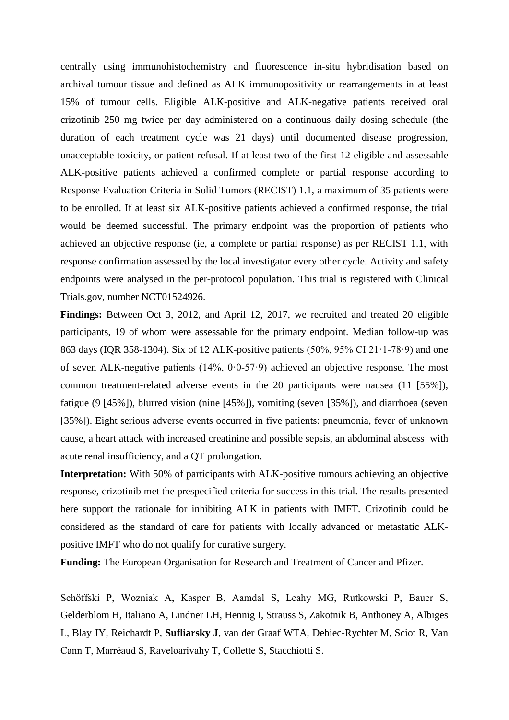centrally using immunohistochemistry and fluorescence in-situ hybridisation based on archival tumour tissue and defined as ALK immunopositivity or rearrangements in at least 15% of tumour cells. Eligible ALK-positive and ALK-negative patients received oral crizotinib 250 mg twice per day administered on a continuous daily dosing schedule (the duration of each treatment cycle was 21 days) until documented disease progression, unacceptable toxicity, or patient refusal. If at least two of the first 12 eligible and assessable ALK-positive patients achieved a confirmed complete or partial response according to Response Evaluation Criteria in Solid Tumors (RECIST) 1.1, a maximum of 35 patients were to be enrolled. If at least six ALK-positive patients achieved a confirmed response, the trial would be deemed successful. The primary endpoint was the proportion of patients who achieved an objective response (ie, a complete or partial response) as per RECIST 1.1, with response confirmation assessed by the local investigator every other cycle. Activity and safety endpoints were analysed in the per-protocol population. This trial is registered with Clinical Trials.gov, number NCT01524926.

**Findings:** Between Oct 3, 2012, and April 12, 2017, we recruited and treated 20 eligible participants, 19 of whom were assessable for the primary endpoint. Median follow-up was 863 days (IQR 358-1304). Six of 12 ALK-positive patients (50%, 95% CI 21·1-78·9) and one of seven ALK-negative patients  $(14\%, 0.0-57.9)$  achieved an objective response. The most common treatment-related adverse events in the 20 participants were nausea (11 [55%]), fatigue (9 [45%]), blurred vision (nine [45%]), vomiting (seven [35%]), and diarrhoea (seven [35%]). Eight serious adverse events occurred in five patients: pneumonia, fever of unknown cause, a heart attack with increased creatinine and possible sepsis, an abdominal abscess with acute renal insufficiency, and a QT prolongation.

**Interpretation:** With 50% of participants with ALK-positive tumours achieving an objective response, crizotinib met the prespecified criteria for success in this trial. The results presented here support the rationale for inhibiting ALK in patients with IMFT. Crizotinib could be considered as the standard of care for patients with locally advanced or metastatic ALKpositive IMFT who do not qualify for curative surgery.

**Funding:** The European Organisation for Research and Treatment of Cancer and Pfizer.

Schöffski P, Wozniak A, Kasper B, Aamdal S, Leahy MG, Rutkowski P, Bauer S, Gelderblom H, Italiano A, Lindner LH, Hennig I, Strauss S, Zakotnik B, Anthoney A, Albiges L, Blay JY, Reichardt P, **Sufliarsky J**, van der Graaf WTA, Debiec-Rychter M, Sciot R, Van Cann T, Marréaud S, Raveloarivahy T, Collette S, Stacchiotti S.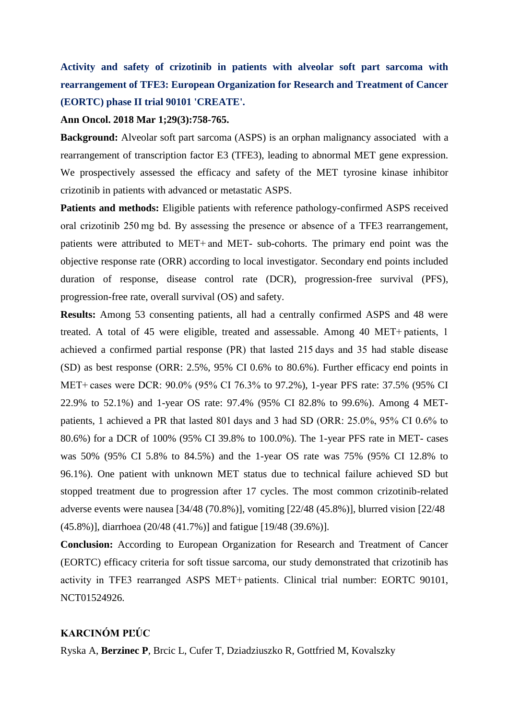# **Activity and safety of crizotinib in patients with alveolar soft part sarcoma with rearrangement of TFE3: European Organization for Research and Treatment of Cancer (EORTC) phase II trial 90101 'CREATE'.**

#### **Ann Oncol. 2018 Mar 1;29(3):758-765.**

**Background:** Alveolar soft part sarcoma (ASPS) is an orphan malignancy associated with a rearrangement of transcription factor E3 (TFE3), leading to abnormal MET gene expression. We prospectively assessed the efficacy and safety of the MET tyrosine kinase inhibitor crizotinib in patients with advanced or metastatic ASPS.

Patients and methods: Eligible patients with reference pathology-confirmed ASPS received oral crizotinib 250 mg bd. By assessing the presence or absence of a TFE3 rearrangement, patients were attributed to MET+ and MET- sub-cohorts. The primary end point was the objective response rate (ORR) according to local investigator. Secondary end points included duration of response, disease control rate (DCR), progression-free survival (PFS), progression-free rate, overall survival (OS) and safety.

**Results:** Among 53 consenting patients, all had a centrally confirmed ASPS and 48 were treated. A total of 45 were eligible, treated and assessable. Among 40 MET+ patients, 1 achieved a confirmed partial response (PR) that lasted 215 days and 35 had stable disease (SD) as best response (ORR: 2.5%, 95% CI 0.6% to 80.6%). Further efficacy end points in MET+ cases were DCR: 90.0% (95% CI 76.3% to 97.2%), 1-year PFS rate: 37.5% (95% CI 22.9% to 52.1%) and 1-year OS rate: 97.4% (95% CI 82.8% to 99.6%). Among 4 METpatients, 1 achieved a PR that lasted 801 days and 3 had SD (ORR: 25.0%, 95% CI 0.6% to 80.6%) for a DCR of 100% (95% CI 39.8% to 100.0%). The 1-year PFS rate in MET- cases was 50% (95% CI 5.8% to 84.5%) and the 1-year OS rate was 75% (95% CI 12.8% to 96.1%). One patient with unknown MET status due to technical failure achieved SD but stopped treatment due to progression after 17 cycles. The most common crizotinib-related adverse events were nausea [34/48 (70.8%)], vomiting [22/48 (45.8%)], blurred vision [22/48 (45.8%)], diarrhoea (20/48 (41.7%)] and fatigue [19/48 (39.6%)].

**Conclusion:** According to European Organization for Research and Treatment of Cancer (EORTC) efficacy criteria for soft tissue sarcoma, our study demonstrated that crizotinib has activity in TFE3 rearranged ASPS MET+ patients. Clinical trial number: EORTC 90101, NCT01524926.

### **KARCINÓM PĽÚC**

Ryska A, **Berzinec P**, Brcic L, Cufer T, Dziadziuszko R, Gottfried M, Kovalszky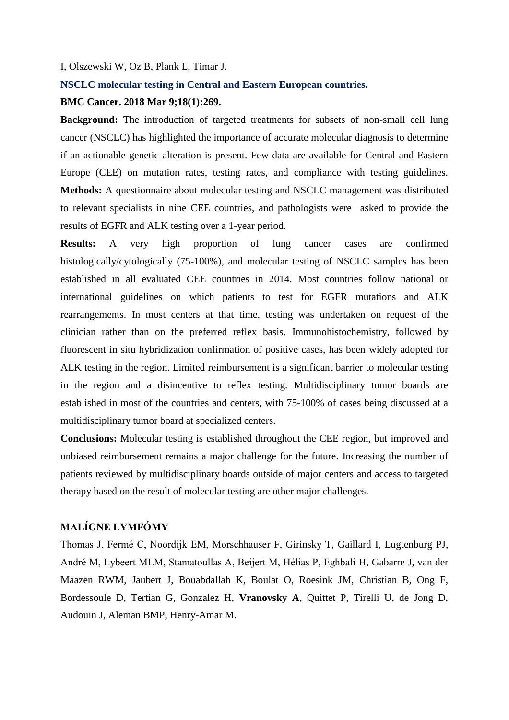#### I, Olszewski W, Oz B, Plank L, Timar J.

#### **NSCLC molecular testing in Central and Eastern European countries.**

## **BMC Cancer. 2018 Mar 9;18(1):269.**

**Background:** The introduction of targeted treatments for subsets of non-small cell lung cancer (NSCLC) has highlighted the importance of accurate molecular diagnosis to determine if an actionable genetic alteration is present. Few data are available for Central and Eastern Europe (CEE) on mutation rates, testing rates, and compliance with testing guidelines. **Methods:** A questionnaire about molecular testing and NSCLC management was distributed to relevant specialists in nine CEE countries, and pathologists were asked to provide the results of EGFR and ALK testing over a 1-year period.

**Results:** A very high proportion of lung cancer cases are confirmed histologically/cytologically (75-100%), and molecular testing of NSCLC samples has been established in all evaluated CEE countries in 2014. Most countries follow national or international guidelines on which patients to test for EGFR mutations and ALK rearrangements. In most centers at that time, testing was undertaken on request of the clinician rather than on the preferred reflex basis. Immunohistochemistry, followed by fluorescent in situ hybridization confirmation of positive cases, has been widely adopted for ALK testing in the region. Limited reimbursement is a significant barrier to molecular testing in the region and a disincentive to reflex testing. Multidisciplinary tumor boards are established in most of the countries and centers, with 75-100% of cases being discussed at a multidisciplinary tumor board at specialized centers.

**Conclusions:** Molecular testing is established throughout the CEE region, but improved and unbiased reimbursement remains a major challenge for the future. Increasing the number of patients reviewed by multidisciplinary boards outside of major centers and access to targeted therapy based on the result of molecular testing are other major challenges.

# **MALÍGNE LYMFÓMY**

Thomas J, Fermé C, Noordijk EM, Morschhauser F, Girinsky T, Gaillard I, Lugtenburg PJ, André M, Lybeert MLM, Stamatoullas A, Beijert M, Hélias P, Eghbali H, Gabarre J, van der Maazen RWM, Jaubert J, Bouabdallah K, Boulat O, Roesink JM, Christian B, Ong F, Bordessoule D, Tertian G, Gonzalez H, **Vranovsky A**, Quittet P, Tirelli U, de Jong D, Audouin J, Aleman BMP, Henry-Amar M.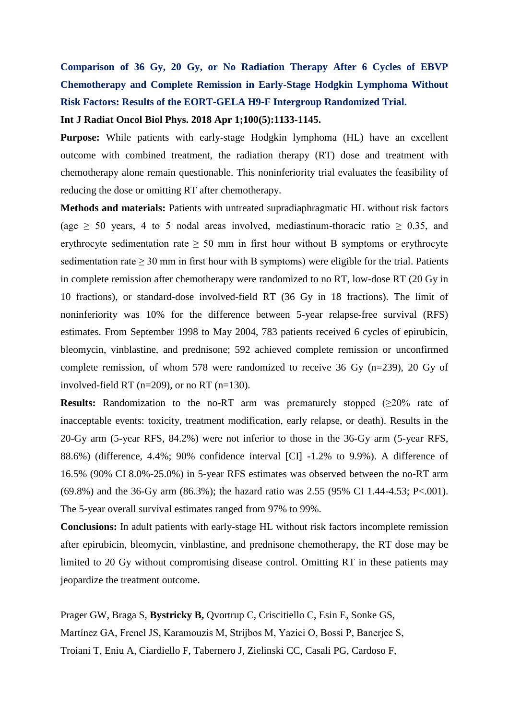# **Comparison of 36 Gy, 20 Gy, or No Radiation Therapy After 6 Cycles of EBVP Chemotherapy and Complete Remission in Early-Stage Hodgkin Lymphoma Without Risk Factors: Results of the EORT-GELA H9-F Intergroup Randomized Trial.**

## **Int J Radiat Oncol Biol Phys. 2018 Apr 1;100(5):1133-1145.**

**Purpose:** While patients with early-stage Hodgkin lymphoma (HL) have an excellent outcome with combined treatment, the radiation therapy (RT) dose and treatment with chemotherapy alone remain questionable. This noninferiority trial evaluates the feasibility of reducing the dose or omitting RT after chemotherapy.

**Methods and materials:** Patients with untreated supradiaphragmatic HL without risk factors (age  $\geq$  50 years, 4 to 5 nodal areas involved, mediastinum-thoracic ratio  $\geq$  0.35, and erythrocyte sedimentation rate  $\geq 50$  mm in first hour without B symptoms or erythrocyte sedimentation rate  $> 30$  mm in first hour with B symptoms) were eligible for the trial. Patients in complete remission after chemotherapy were randomized to no RT, low-dose RT (20 Gy in 10 fractions), or standard-dose involved-field RT (36 Gy in 18 fractions). The limit of noninferiority was 10% for the difference between 5-year relapse-free survival (RFS) estimates. From September 1998 to May 2004, 783 patients received 6 cycles of epirubicin, bleomycin, vinblastine, and prednisone; 592 achieved complete remission or unconfirmed complete remission, of whom 578 were randomized to receive 36 Gy (n=239), 20 Gy of involved-field RT (n=209), or no RT (n=130).

**Results:** Randomization to the no-RT arm was prematurely stopped  $(\geq 20\%$  rate of inacceptable events: toxicity, treatment modification, early relapse, or death). Results in the 20-Gy arm (5-year RFS, 84.2%) were not inferior to those in the 36-Gy arm (5-year RFS, 88.6%) (difference, 4.4%; 90% confidence interval [CI] -1.2% to 9.9%). A difference of 16.5% (90% CI 8.0%-25.0%) in 5-year RFS estimates was observed between the no-RT arm (69.8%) and the 36-Gy arm (86.3%); the hazard ratio was 2.55 (95% CI 1.44-4.53; P<.001). The 5-year overall survival estimates ranged from 97% to 99%.

**Conclusions:** In adult patients with early-stage HL without risk factors incomplete remission after epirubicin, bleomycin, vinblastine, and prednisone chemotherapy, the RT dose may be limited to 20 Gy without compromising disease control. Omitting RT in these patients may jeopardize the treatment outcome.

Prager GW, Braga S, **Bystricky B,** Qvortrup C, Criscitiello C, Esin E, Sonke GS, Martínez GA, Frenel JS, Karamouzis M, Strijbos M, Yazici O, Bossi P, Banerjee S, Troiani T, Eniu A, Ciardiello F, Tabernero J, Zielinski CC, Casali PG, Cardoso F,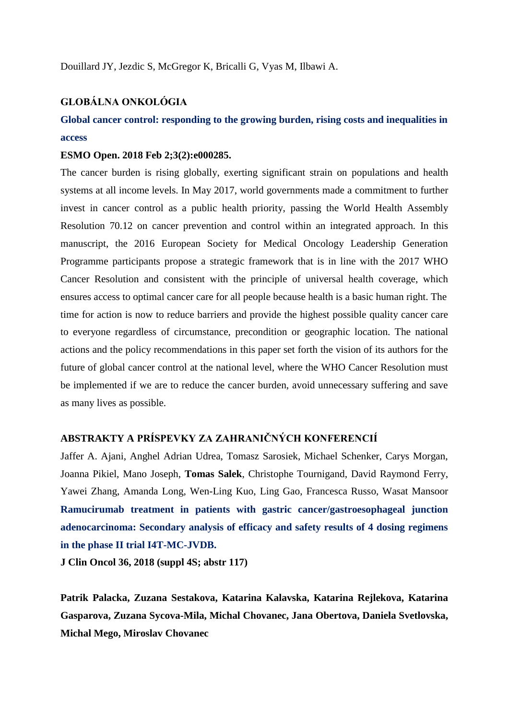# **GLOBÁLNA ONKOLÓGIA**

# **Global cancer control: responding to the growing burden, rising costs and inequalities in access**

#### **ESMO Open. 2018 Feb 2;3(2):e000285.**

The cancer burden is rising globally, exerting significant strain on populations and health systems at all income levels. In May 2017, world governments made a commitment to further invest in cancer control as a public health priority, passing the World Health Assembly Resolution 70.12 on cancer prevention and control within an integrated approach. In this manuscript, the 2016 European Society for Medical Oncology Leadership Generation Programme participants propose a strategic framework that is in line with the 2017 WHO Cancer Resolution and consistent with the principle of universal health coverage, which ensures access to optimal cancer care for all people because health is a basic human right. The time for action is now to reduce barriers and provide the highest possible quality cancer care to everyone regardless of circumstance, precondition or geographic location. The national actions and the policy recommendations in this paper set forth the vision of its authors for the future of global cancer control at the national level, where the WHO Cancer Resolution must be implemented if we are to reduce the cancer burden, avoid unnecessary suffering and save as many lives as possible.

# **ABSTRAKTY A PRÍSPEVKY ZA ZAHRANIČNÝCH KONFERENCIÍ**

Jaffer A. Ajani, Anghel Adrian Udrea, Tomasz Sarosiek, Michael Schenker, Carys Morgan, Joanna Pikiel, Mano Joseph, **Tomas Salek**, Christophe Tournigand, David Raymond Ferry, Yawei Zhang, Amanda Long, Wen-Ling Kuo, Ling Gao, Francesca Russo, Wasat Mansoor **Ramucirumab treatment in patients with gastric cancer/gastroesophageal junction adenocarcinoma: Secondary analysis of efficacy and safety results of 4 dosing regimens in the phase II trial I4T-MC-JVDB.**

**J Clin Oncol 36, 2018 (suppl 4S; abstr 117)**

**Patrik Palacka, Zuzana Sestakova, Katarina Kalavska, Katarina Rejlekova, Katarina Gasparova, Zuzana Sycova-Mila, Michal Chovanec, Jana Obertova, Daniela Svetlovska, Michal Mego, Miroslav Chovanec**